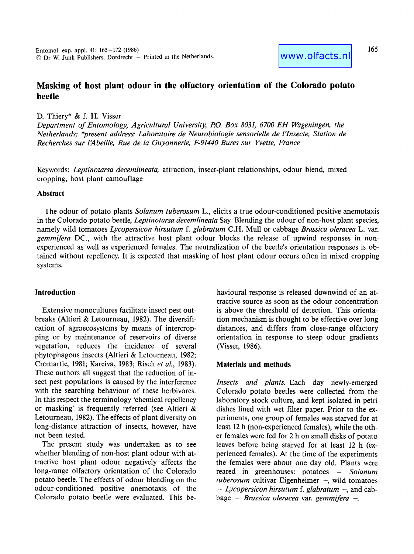# **Masking of host plant odour in the olfactory orientation of the Colorado potato beetle**

D. Thiery\* & J. H. Visser

*Department of Entomology, Agricultural University, P.O. Box 8031, 6700 EH Wageningen, the Netherlands; \*present address: Laboratoire de Neurobiologie sensorielle de l'Insecte, Station de Recherches sur l'Abeille, Rue de la Guyonnerie, F-91440 Bures sur Yvette, France* 

Keywords: *Leptinotarsa decemlineata,* attraction, insect-plant relationships, odour blend, mixed cropping, host plant camouflage

### **Abstract**

The odour of potato plants *Solanum tuberosum* L., elicits a true odour-conditioned positive anemotaxis in the Colorado potato beetle, *Leptinotarsa decemlineata* Say. Blending the odour of non-host plant species, namely wild tomatoes *Lycopersicon hirsutum f. glabratum* C.H. Mull or cabbage *Brassica oleracea* L. var. *gemmifera* DC., with the attractive host plant odour blocks the release of upwind responses in nonexperienced as well as experienced females. The neutralization of the beetle's orientation responses is obtained without repellency. It is expected that masking of host plant odour occurs often in mixed cropping systems.

# **Introduction**

Extensive monocultures facilitate insect pest outbreaks (Altieri & Letourneau, 1982). The diversification of agroecosystems by means of intercropping or by maintenance of reservoirs of diverse vegetation, reduces the incidence of several phytophagous insects (Altieri & Letourneau, 1982; Cromartie, 1981; Kareiva, 1983; Risch *et al.,* 1983). These authors all suggest that the reduction of insect pest populations is caused by the interference with the searching behaviour of these herbivores. In this respect the terminology 'chemical repellency or masking' is frequently referred (see Altieri & Letourneau, 1982). The effects of plant diversity on long-distance attraction of insects, however, have not been tested.

The present study was undertaken as to see whether blending of non-host plant odour with attractive host plant odour negatively affects the long-range olfactory orientation of the Colorado potato beetle. The effects of odour blending on the odour-conditioned positive anemotaxis of the Colorado potato beetle were evaluated. This behavioural response is released downwind of an attractive source as soon as the odour concentration is above the threshold of detection. This orientation mechanism is thought to be effective over long distances, and differs from close-range olfactory orientation in response to steep odour gradients (Visser, 1986).

### **Materials and methods**

*Insects and plants.* Each day newly-emerged Colorado potato beetles were collected from the laboratory stock culture, and kept isolated in petri dishes lined with wet filter paper. Prior to the experiments, one group of females was starved for at least 12 h (non-experienced females), while the other females were fed for 2 h on small disks of potato leaves before being starved for at least 12 h (experienced females). At the time of the experiments the females were about one day old. Plants were reared in greenhouses: potatoes - *Solanum tuberosum* cultivar Eigenheimer -, wild tomatoes *- Lycopersicon hirsutum f. glabratum -,* and cabbage - *Brassica oleracea* var. *gemmifera -.*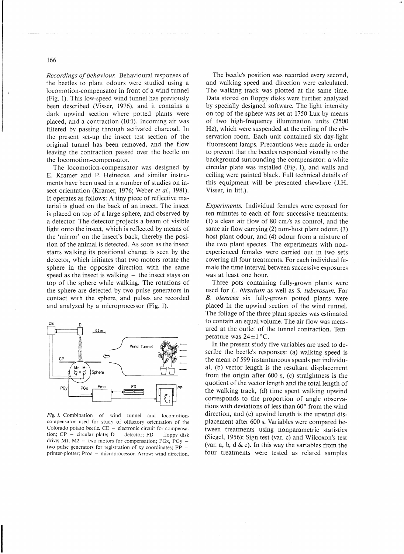*Recordings of behaviour.* Behavioural responses of the beetles to plant odours were studied using a locomotion-compensator in front of a wind tunnel (Fig. 1). This low-speed wind tunnel has previously been described (Visser, 1976), and it contains a dark upwind section where potted plants were placed, and a contraction (1O:1). Incoming air was filtered by passing through activated charcoal. In the present set-up the insect test section of the original tunnel has been removed, and the flow leaving the contraction passed over the beetle on the locomotion-compensator.

The locomotion-compensator was designed by E. Kramer and P. Heinecke, and similar instruments have been used in a number of studies on insect orientation (Kramer, 1976; Weber *et ai.,* 1981). It operates as follows: A tiny piece of reflective material is glued on the back of an insect. The insect is placed on top of a large sphere, and observed by a detector. The detector projects a beam of visible light onto the insect, which is reflected by means of the 'mirror' on the insect's back, thereby the position of the animal is detected. As soon as the insect starts walking its positional change is seen by the detector, which initiates that two motors rotate the sphere in the opposite direction with the same speed as the insect is walking  $-$  the insect stays on top of the sphere while walking. The rotations of the sphere are detected by two pulse generators in contact with the sphere, and pulses are recorded and analyzed by a microprocessor (Fig. 1).



Fig. 1. Combination of wind tunnel and locomotioncompensator used for study of olfactory orientation of the Colorado potato beetle.  $CE$  - electronic circuit for compensation;  $CP$  - circular plate;  $D$  - detector;  $FD$  - floppy disk drive; M1,  $M2 - two$  motors for compensation; PGx, PGy two pulse generators for registration of xy coordinates; PP printer-plotter; Proc - microprocessor. Arrow: wind direction.

The beetle's position was recorded every second, and walking speed and direction were calculated. The walking track was plotted at the same time. Data stored on floppy disks were further analyzed by specially designed software. The light intensity on top of the sphere was set at 1750 Lux by means of two high-frequency illumination units (2500 Hz), which were suspended at the ceiling of the observation room. Each unit contained six day-light fluorescent lamps. Precautions \vere made in order to prevent that the beetles responded visually to the background surrounding the compensator: a white circular plate was installed (Fig. 1), and walls and ceiling were painted black. Full technical details of this equipment will be presented elsewhere (IH. Visser, in litt.).

*Experiments.* Individual females were exposed for ten minutes to each of four successive treatments: (1) a clean air flow of 80 *cmls* as control, and the same air flow carrying (2) non-host plant odour, (3) host plant odour, and (4) odour from a mixture of the two plant species. The experiments with nonexperienced females were carried out in two sets covering all four treatments. For each individual female the time interval between successive exposures was at least one hour.

Three pots containing fully-grown plants were used for L. *hirsutum* as well as S. *tuberosum.* For *B. oleracea* six fully-grown potted plants were placed in the upwind section of the wind tunnel. The foliage of the three plant species was estimated 10 contain an equal volume. The air flow was measured at the outlet of the tunnel contraction. Temperature was  $24 \pm 1$  °C.

In the present study five variables are used to describe the beetle's responses: (a) walking speed is the mean of 599 instantaneous speeds per individual, (b) vector length is the resultant displacement from the origin after 600 s, (c) straightness is the quotient of the vector length and the total length of the walking track, (d) time spent walking upwind corresponds to the proportion of angle observations with deviations of less than 60° from the wind direction, and (e) upwind length is the upwind displacement after 600 s. Variables were compared between treatments using nonparametric statistics (Siegel, 1956); Sign test (var. c) and Wilcoxon's test. (var. a, b,  $d \& e$ ). In this way the variables from the four treatments were tested as related samples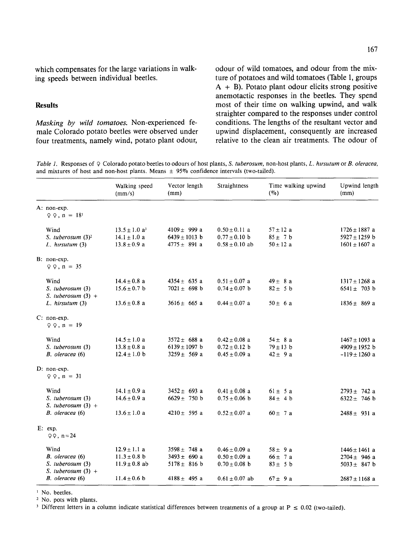**which compensates for the large variations in walking speeds between individual beetles.** 

#### **Results**

*Masking by wild tomatoes.* Non-experienced female Colorado potato beetles were observed under four treatments, namely wind, potato plant odour, **odour of wild tomatoes, and odour from the mixture of potatoes and wild tomatoes (Table 1, groups A + B). Potato plant odour elicits strong positive anemotactic responses in the beetles. They spend most of their time on walking upwind, and walk straighter compared to the responses under control conditions. The lengths of the resultant vector and upwind displacement, consequently are increased relative to the clean air treatments. The odour of** 

*Table 1.* Responses of 9 Colorado potato beetles to odours of host plants, *S. tuberosum*, non-host plants, *L. hursutum* or *B. oleracea*, and mixtures of host and non-host plants. Means  $\pm$  95% confidence intervals (two-tailed).

|  |                                                                                        | Walking speed<br>(mm/s)                                                       | Vector length<br>(mm)                                                        | Straightness                                                                      | Time walking upwind<br>$(\%)$                             | Upwind length<br>(mm)                                                          |
|--|----------------------------------------------------------------------------------------|-------------------------------------------------------------------------------|------------------------------------------------------------------------------|-----------------------------------------------------------------------------------|-----------------------------------------------------------|--------------------------------------------------------------------------------|
|  | A: non-exp.<br>$Q Q$ , $n = 181$                                                       |                                                                               |                                                                              |                                                                                   |                                                           |                                                                                |
|  | Wind<br>S. tuberosum $(3)^2$<br>$L.$ hirsutum $(3)$                                    | $13.5 \pm 1.0$ a <sup>3</sup><br>$14.1 \pm 1.0$ a<br>$13.8 \pm 0.9$ a         | $4109 \pm 999$ a<br>$6439 \pm 1013$ b<br>$4775 \pm 891$ a                    | $0.50 \pm 0.11$ a<br>$0.77 \pm 0.10$ b<br>$0.58 \pm 0.10$ ab                      | $57 \pm 12$ a<br>$85 \pm 7$ b<br>$50 \pm 12$ a            | $1726 \pm 1887$ a<br>5927 ± 1259 b<br>$1601 \pm 1607$ a                        |
|  | B: non-exp.<br>$QQ$ , $n = 35$                                                         |                                                                               |                                                                              |                                                                                   |                                                           |                                                                                |
|  | Wind<br>S. tuberosum (3)<br>S. tuberosum $(3) +$<br>$L.$ hirsutum $(3)$                | $14.4 \pm 0.8$ a<br>$15.6 \pm 0.7$ b<br>$13.6 \pm 0.8$ a                      | $4354 \pm 635$ a<br>$7021 \pm 698$ b<br>$3616 \pm 665$ a                     | $0.51 \pm 0.07$ a<br>$0.74 \pm 0.07$ b<br>$0.44 \pm 0.07$ a                       | $49 \pm 8 a$<br>$82 \pm 5$ b<br>$50 \pm 6a$               | $1317 \pm 1268$ a<br>$6541 \pm 703$ b<br>$1836 \pm 869$ a                      |
|  | $C: non-exp.$<br>$QQ$ , $n = 19$                                                       |                                                                               |                                                                              |                                                                                   |                                                           |                                                                                |
|  | Wind<br>S. tuberosum (3)<br>B. oleracea (6)                                            | $14.5 \pm 1.0$ a<br>$13.8 \pm 0.8$ a<br>$12.4 \pm 1.0$ b                      | $3572 \pm 688$ a<br>$6139 \pm 1097$ b<br>$3259 \pm 569$ a                    | $0.42 \pm 0.08$ a<br>$0.72 \pm 0.12$ b<br>$0.45 \pm 0.09$ a                       | $54 \pm 8$ a<br>$79 \pm 13$ b<br>$42 \pm 9a$              | $1467 \pm 1093$ a<br>$4909 \pm 1952$ b<br>$-119 \pm 1260$ a                    |
|  | D: non-exp.<br>$QQ$ , $n = 31$                                                         |                                                                               |                                                                              |                                                                                   |                                                           |                                                                                |
|  | Wind<br>S. tuberosum (3)<br>S. tuberosum $(3) +$<br>B. oleracea (6)                    | $14.1 \pm 0.9$ a<br>$14.6 \pm 0.9$ a<br>$13.6 \pm 1.0$ a                      | $3452 \pm 693$ a<br>$6629 \pm 750$ b<br>4210 $\pm$ 595 a                     | $0.41 \pm 0.08$ a<br>$0.75 \pm 0.06$ b<br>$0.52 \pm 0.07$ a                       | $61 \pm 5a$<br>$84 \pm 4$ b<br>$60 \pm 7a$                | $2793 \pm 742$ a<br>6322 $\pm$ 746 b<br>$2488 \pm 931$ a                       |
|  | E: exp.<br>$QQ$ , $n = 24$                                                             |                                                                               |                                                                              |                                                                                   |                                                           |                                                                                |
|  | Wind<br>B. oleracea (6)<br>S. tuberosum (3)<br>S. tuberosum $(3)$ +<br>B. oleracea (6) | $12.9 \pm 1.1$ a<br>$11.3 \pm 0.8$ b<br>$11.9 \pm 0.8$ ab<br>$11.4 \pm 0.6$ b | $3598 \pm 748$ a<br>$3493 \pm 690$ a<br>$5178 \pm 816$ b<br>$4188 \pm 495$ a | $0.46 \pm 0.09$ a<br>$0.50 \pm 0.09$ a<br>$0.70 \pm 0.08$ b<br>$0.61 \pm 0.07$ ab | $58 + 9a$<br>$66 \pm 7$ a<br>$83 \pm 5$ b<br>$67 \pm 9$ a | $1446 \pm 1461$ a<br>$2704 \pm 946$ a<br>5033 $\pm$ 847 b<br>$2687 \pm 1168$ a |

<sup>1</sup> No. beetles.

2 No. pots with plants.

<sup>3</sup> Different letters in a column indicate statistical differences between treatments of a group at  $P \le 0.02$  (two-tailed).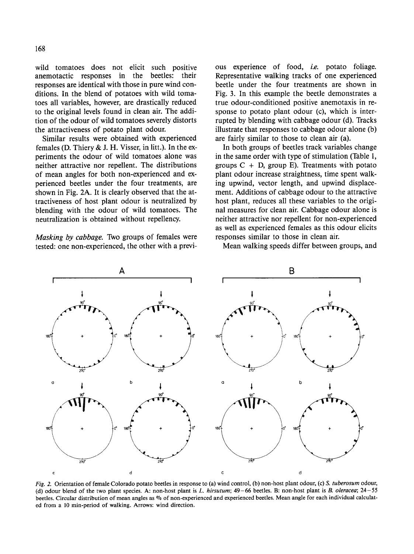wild tomatoes does not elicit such positive anemotactic responses in the beetles: their responses are identical with those in pure wind conditions. In the blend of potatoes with wild tomatoes all variables, however, are drastically reduced to the original levels found in clean air. The addition of the odour of wild tomatoes severely distorts the attractiveness of potato plant odour.

Similar results were obtained with experienced females (D. Thiery  $&$  J. H. Visser, in litt.). In the experiments the odour of wild tomatoes alone was neither attractive nor repellent. The distributions of mean angles for both non-experienced and experienced beetles under the four treatments, are shown in Fig. 2A. It is clearly observed that the attractiveness of host plant odour is neutralized by blending with the odour of wild tomatoes. The neutralization is obtained without repellency.

*Masking by cabbage.* Two groups of females were tested: one non-experienced, the other with a previous experience of food, *i.e.* potato foliage. Representative walking tracks of one experienced beetle under the four treatments are shown in Fig. 3. In this example the beetle demonstrates a true odour-conditioned positive anemotaxis in response to potato plant odour (c), which is interrupted by blending with cabbage odour (d). Tracks illustrate that responses to cabbage odour alone (b) are fairly similar to those to clean air (a).

In both groups of beetles track variables change in the same order with type of stimulation (Table 1, groups  $C + D$ , group E). Treatments with potato plant odour increase straightness, time spent walking upwind, vector length, and upwind displacement. Additions of cabbage odour to the attractive host plant, reduces all these variables to the original measures for clean air. Cabbage odour alone is neither attractive nor repellent for non-experienced as well as experienced females as this odour elicits responses similar to those in clean air.

Mean walking speeds differ between groups, and



*Fig.* 2. Orientation of female Colorado potato beetles in response to (a) wind control, (b) non-host plant odour, (c) *S. tuberosum* odour, (d) odour blend of the two plant species. A: non-host plant is *L. hirsutum;* 49-66 beetles. B: non-host plant is *B. oleracea;* 24-55 beetles. Circular distribution of mean angles as % of non-experienced and experienced beetles. Mean angle for each individual calculated from a 10 min-period of walking. Arrows: wind direction.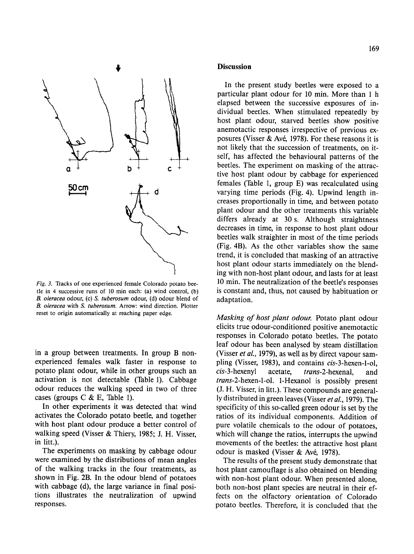

*Fig. 3.* Tracks of one experienced female Colorado potato beetle in 4 successive runs of 10 min each: (a) wind control, (b) *B. oleracea* odour, (c) *S. tuberosum* odour, (d) odour blend of *B. oleracea* with *S. tuberosum.* Arrow: wind direction. Plotter reset to origin automatically at reaching paper edge.

in a group between treatments. In group B nonexperienced females walk faster in response to potato plant odour, while in other groups such an activation is not detectable (Table 1). Cabbage odour reduces the walking speed in two of three cases (groups C & E, Table 1).

In other experiments it was detected that wind activates the Colorado potato beetle, and together with host plant odour produce a better control of walking speed (Visser & Thiery, 1985; J. H. Visser, in litt.).

The experiments on masking by cabbage odour were examined by the distributions of mean angles of the walking tracks in the four treatments, as shown in Fig. 2B. In the odour blend of potatoes with cabbage (d), the large variance in final positions illustrates the neutralization of upwind responses.

#### **Discussion**

In the present study beetles were exposed to a particular plant odour for 10 min. More than 1 h elapsed between the successive exposures of individual beetles. When stimulated repeatedly by host plant odour, starved beetles show positive anemotactic responses irrespective of previous exposures (Visser & Avé, 1978). For these reasons it is not likely that the succession of treatments, on itself, has affected the behavioural patterns of the beetles. The experiment on masking of the attractive host plant odour by cabbage for experienced females (Table 1, group E) was recalculated using varying time periods (Fig. 4). Upwind length increases proportionally in time, and between potato plant odour and the other treatments this variable differs already at 30 s. Although straightness decreases in time, in response to host plant odour beetles walk straighter in most of the time periods (Fig. 4B). As the other variables show the same trend, it is concluded that masking of an attractive host plant odour starts immediately on the blending with non-host plant odour, and lasts for at least 10 min. The neutralization of the beetle's responses is constant and, thus, not caused by habituation or adaptation.

*Masking of host plant odour.* Potato plant odour elicits true odour-conditioned positive anemotactic responses in Colorado potato beetles. The potato leaf odour has been analysed by steam distillation (Visser *et al.,* 1979), as well as by direct vapour sampiing (Visser, 1983), and contains *cis-3-hexen-l-ol, cis-3-hexenyl* acetate, *trans-2-hexenal,* and *trans-2-hexen-l-ol.* 1-Hexanol is possibly present (J. H. Visser, in litt.). These compounds are generally distributed in green leaves (Visser *et al.,* 1979). The specificity of this so-called green odour is set by the ratios of its individual components. Addition of pure volatile chemicals to the odour of potatoes, which will change the ratios, interrupts the upwind movements of the beetles: the attractive host plant odour is masked (Visser & Avé, 1978).

The results of the present study demonstrate that host plant camouflage is also obtained on blending with non-host plant odour. When presented alone, both non-host plant species are neutral in their effects on the olfactory orientation of Colorado potato beetles. Therefore, it is concluded that the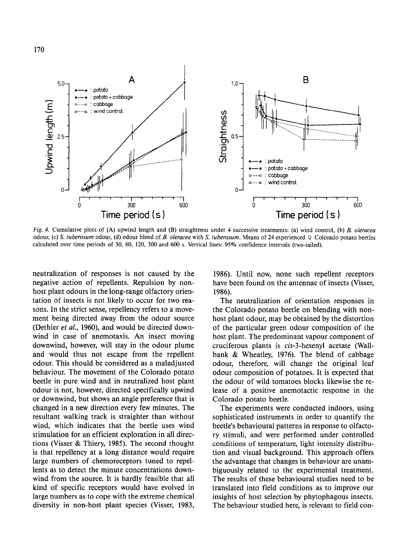

*Fig. 4.* Cumulative plots of (A) upwind length and (B) straightness under 4 successive treatments: (a) wind control, (b) B. *oleracea*  odour, (c) *S. tuberosum* odour, (d) odour blend of B. *oleracea* with *S. tuberosum.* Means of 24 experienced ? Colorado potato beetles calculated over time periods of 30, 60, 120, 300 and 600 s. Vertical lines: 95% confidence intervals (two-tailed).

neutralization of responses is not caused by the negative action of repellents. Repulsion by nonhost plant odours in the long-range olfactory orientation of insects is not likely to occur for two reasons. In the strict sense, repellency refers to a movement being directed away from the odour source (Dethier *et al.,* 1960), and would be directed downwind in case of anemotaxis. An insect moving downwind, however, will stay in the odour plume and would thus not escape from the repellent odour. This should be considered as a maladjusted behaviour. The movement of the Colorado potato beetle in pure wind and in neutralized host plant odour is not, however, directed specifically upwind or downwind, but shows an angle preference that is changed in a new direction every few minutes. The resultant walking track is straighter than without wind, which indicates that the beetle uses wind stimulation for an efficient exploration in all directions (Visser & Thiery, 1985). The second thought is that repellency at a long distance would require large numbers of chemoreceptors tuned to repellents as to detect the minute concentrations downwind from the source. It is hardly feasible that all kind of specific receptors would have evolved in large numbers as to cope with the extreme chemical diversity in non-host plant species (Visser, 1983,

1986). Until now, none such repellent receptors have been found on the antennae of insects (Visser, 1986).

The neutralization of orientation responses in the Colorado potato beetle on blending with nonhost plant odour, may be obtained by the distortion of the particular green odour composition of the host plant. The predominant vapour component of cruciferous plants is *cis-3-hexenyl* acetate (Wallbank & Wheatley, 1976). The blend of cabbage odour, therefore, will change the original leaf odour composition of potatoes. It is expected that the odour of wild tomatoes blocks likewise the release of a positive anemotactic response in the Colorado potato beetle.

The experiments were conducted indoors, using sophisticated instruments in order to quantify the beetle's behavioural patterns in response to olfactory stimuli, and were performed under controlled conditions of temperature, light intensity distribution and visual background. This approach offers the advantage that changes in behaviour are unambiguously related to the experimental treatment. The results of these behavioural studies need to be translated into field conditions as to improve our insights of host selection by phytophagous insects. The behaviour studied here, is relevant to field con-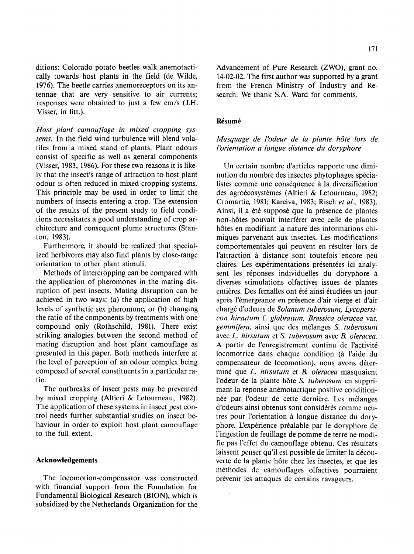ditions: Colorado potato beetles walk anemotactically towards host plants in the field (de Wilde, 1976). The beetle carries anemoreceptors on its antennae that are very sensitive to air currents; responses were obtained to just a few cm/s (J.H. Visser, in litt.).

*Host plant camouflage in mixed cropping systems.* In the field wind turbulence will blend volatiles from a mixed stand of plants. Plant odours consist of specific as well as general components (Visser, 1983, 1986). For these two reasons it is likely that the insect's range of attraction to host plant odour is often reduced in mixed cropping systems. This principle may be used in order to limit the numbers of insects entering a crop. The extension of the results of the present study to field conditions necessitates a good understanding of crop architecture and consequent plume structures (Stanton, 1983).

Furthermore, it should be realized that specialized herbivores may also find plants by close-range orientation to other plant stimuli.

Methods of intercropping can be compared with the application of pheromones in the mating disruption of pest insects. Mating disruption can be achieved in two ways: (a) the application of high levels of synthetic sex pheromone, or (b) changing the ratio of the components by treatments with one compound only (Rothschild, 1981). There exist striking analogies between the second method of mating disruption and host plant camouflage as presented in this paper. Both methods interfere at the level of perception of an odour complex being composed of several constituents in a particular ratio.

The outbreaks of insect pests may be prevented by mixed cropping (Altieri & Letourneau, 1982). The application of these systems in insect pest control needs further substantial studies on insect behaviour in order to exploit host plant camouflage to the full extent.

# **Acknowledgements**

The locomotion-compensator was constructed with financial support from the Foundation for Fundamental Biological Research (BION), which is subsidized by the Netherlands Organization for the Advancement of Pure Research (ZWO), grant no. 14-02-02. The first author was supported by a grant from the French Ministry of Industry and Research. We thank S.A. Ward for comments.

# $Résumé$

# *Masquage de l'odeur de la plante h6te lors de l'orientation a longue distance du doryphore*

Un certain nombre d'articles rapporte une diminution du nombre des insectes phytophages spécialistes comme une conséquence à la diversification des agroécosystèmes (Altieri & Letourneau, 1982; Cromartie, 1981; Kareiva, 1983; Risch *et al.,* 1983). Ainsi, il a été supposé que la présence de plantes non-hôtes pouvait interférer avec celle de plantes h6tes en modifiant la nature des informations chimiques parvenant aux insectes. Les modifications comportementales qui peuvent en résulter lors de l'attraction à distance sont toutefois encore peu claires. Les expérimentations présentées ici analysent les réponses individuelles du doryphore à diverses stimulations olfactives issues de plantes entières. Des femalles ont été ainsi étudiées un jour après l'émergeance en présence d'air vierge et d'air charg6 d'odeurs de *Solanum tuberosum, Lycopersicon hirsutum f. glabratum, Brassica oleracea* var. *gemmifera,* ainsi que des m61anges *S. tuberosum*  avec *L. hirsutum* et S. *tuberosum* avec *B. oleracea.*  A partir de l'enregistrement continu de l'activité locomotrice dans chaque condition (& l'aide du compensateur de locomotion), nous avons détermin6 que *L. hirsutum* et *B. oleracea* masquaient l'odeur de la plante h6te S. *tuberosum* en supprimant la réponse anémotactique positive conditionnée par l'odeur de cette dernière. Les mélanges d'odeurs ainsi obtenus sont considérés comme neutres pour l'orientation & longue distance du doryphore. L'expérience préalable par le doryphore de l'ingestion de feuillage de pomme de terre ne modifie pas l'effet du camouflage obtenu. Ces résultats laissent penser qu'il est possible de limiter la découverte de la plante h6te chez les insectes, et que les méthodes de camouflages olfactives pourraient prévenir les attaques de certains ravageurs.